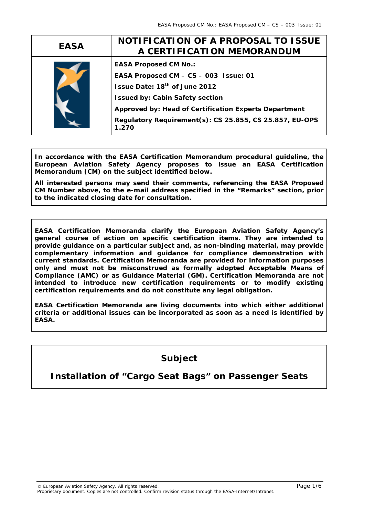| <b>EASA</b> | NOTIFICATION OF A PROPOSAL TO ISSUE<br>A CERTIFICATION MEMORANDUM                                                                                                                                                                                                                         |
|-------------|-------------------------------------------------------------------------------------------------------------------------------------------------------------------------------------------------------------------------------------------------------------------------------------------|
|             | <b>EASA Proposed CM No.:</b><br>EASA Proposed CM - CS - 003 Issue: 01<br>Issue Date: 18 <sup>th</sup> of June 2012<br><b>Issued by: Cabin Safety section</b><br>Approved by: Head of Certification Experts Department<br>Regulatory Requirement(s): CS 25.855, CS 25.857, EU-OPS<br>1.270 |

**In accordance with the EASA Certification Memorandum procedural guideline, the European Aviation Safety Agency proposes to issue an EASA Certification Memorandum (CM) on the subject identified below.** 

**All interested persons may send their comments, referencing the EASA Proposed CM Number above, to the e-mail address specified in the "Remarks" section, prior to the indicated closing date for consultation.** 

**EASA Certification Memoranda clarify the European Aviation Safety Agency's general course of action on specific certification items. They are intended to provide guidance on a particular subject and, as non-binding material, may provide complementary information and guidance for compliance demonstration with current standards. Certification Memoranda are provided for information purposes only and must not be misconstrued as formally adopted Acceptable Means of Compliance (AMC) or as Guidance Material (GM). Certification Memoranda are not intended to introduce new certification requirements or to modify existing certification requirements and do not constitute any legal obligation.** 

**EASA Certification Memoranda are living documents into which either additional criteria or additional issues can be incorporated as soon as a need is identified by EASA.** 

# **Subject**

## **Installation of "Cargo Seat Bags" on Passenger Seats**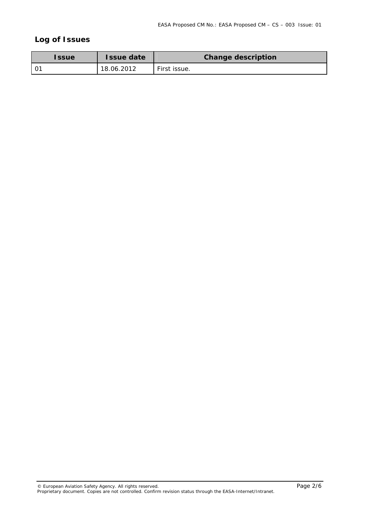## **Log of Issues**

| <b>Issue</b> | <b>Issue date</b> | <b>Change description</b> |
|--------------|-------------------|---------------------------|
|              | 18.06.2012        | First issue.              |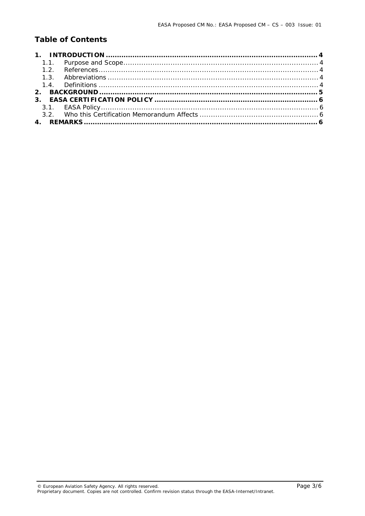## **Table of Contents**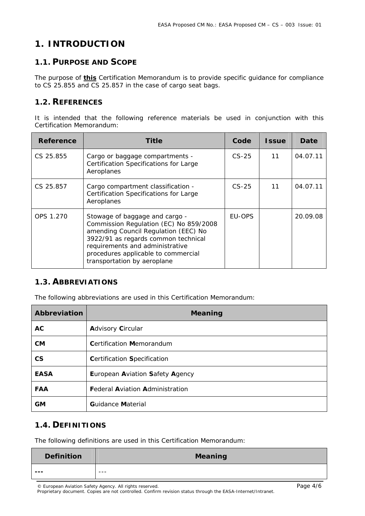## **1. INTRODUCTION**

#### **1.1. PURPOSE AND SCOPE**

The purpose of **this** Certification Memorandum is to provide specific guidance for compliance to CS 25.855 and CS 25.857 in the case of cargo seat bags.

#### **1.2. REFERENCES**

It is intended that the following reference materials be used in conjunction with this Certification Memorandum:

| Reference | Title                                                                                                                                                                                                                                                            | Code          | <b>Issue</b> | Date     |
|-----------|------------------------------------------------------------------------------------------------------------------------------------------------------------------------------------------------------------------------------------------------------------------|---------------|--------------|----------|
| CS 25.855 | Cargo or baggage compartments -<br><b>Certification Specifications for Large</b><br>Aeroplanes                                                                                                                                                                   | $CS-25$       | 11           | 04.07.11 |
| CS 25.857 | Cargo compartment classification -<br><b>Certification Specifications for Large</b><br>Aeroplanes                                                                                                                                                                | $CS-25$       | 11           | 04.07.11 |
| OPS 1.270 | Stowage of baggage and cargo -<br>Commission Regulation (EC) No 859/2008<br>amending Council Regulation (EEC) No<br>3922/91 as regards common technical<br>requirements and administrative<br>procedures applicable to commercial<br>transportation by aeroplane | <b>FU-OPS</b> |              | 20.09.08 |

#### **1.3. ABBREVIATIONS**

The following abbreviations are used in this Certification Memorandum:

| Abbreviation             | <b>Meaning</b>                         |
|--------------------------|----------------------------------------|
| <b>AC</b>                | <b>Advisory Circular</b>               |
| <b>CM</b>                | <b>Certification Memorandum</b>        |
| $\mathsf{CS}\phantom{0}$ | <b>Certification Specification</b>     |
| <b>EASA</b>              | European Aviation Safety Agency        |
| <b>FAA</b>               | <b>Federal Aviation Administration</b> |
| GМ                       | <b>Guidance Material</b>               |

#### **1.4. DEFINITIONS**

The following definitions are used in this Certification Memorandum:

| <b>Definition</b> | <b>Meaning</b> |
|-------------------|----------------|
| ---               | $- - -$        |

© European Aviation Safety Agency. All rights reserved. Page 4/6

Proprietary document. Copies are not controlled. Confirm revision status through the EASA-Internet/Intranet.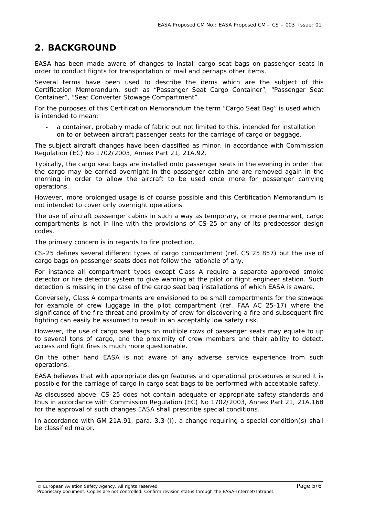### **2. BACKGROUND**

EASA has been made aware of changes to install cargo seat bags on passenger seats in order to conduct flights for transportation of mail and perhaps other items.

Several terms have been used to describe the items which are the subject of this Certification Memorandum, such as "Passenger Seat Cargo Container", "Passenger Seat Container", "Seat Converter Stowage Compartment".

For the purposes of this Certification Memorandum the term "Cargo Seat Bag" is used which is intended to mean;

a container, probably made of fabric but not limited to this, intended for installation on to or between aircraft passenger seats for the carriage of cargo or baggage.

The subject aircraft changes have been classified as minor, in accordance with Commission Regulation (EC) No 1702/2003, Annex Part 21, 21A.92.

Typically, the cargo seat bags are installed onto passenger seats in the evening in order that the cargo may be carried overnight in the passenger cabin and are removed again in the morning in order to allow the aircraft to be used once more for passenger carrying operations.

However, more prolonged usage is of course possible and this Certification Memorandum is not intended to cover only overnight operations.

The use of aircraft passenger cabins in such a way as temporary, or more permanent, cargo compartments is not in line with the provisions of CS-25 or any of its predecessor design codes.

The primary concern is in regards to fire protection.

CS-25 defines several different types of cargo compartment (ref. CS 25.857) but the use of cargo bags on passenger seats does not follow the rationale of any.

For instance all compartment types except Class A require a separate approved smoke detector or fire detector system to give warning at the pilot or flight engineer station. Such detection is missing in the case of the cargo seat bag installations of which EASA is aware.

Conversely, Class A compartments are envisioned to be small compartments for the stowage for example of crew luggage in the pilot compartment (ref. FAA AC 25-17) where the significance of the fire threat and proximity of crew for discovering a fire and subsequent fire fighting can easily be assumed to result in an acceptably low safety risk.

However, the use of cargo seat bags on multiple rows of passenger seats may equate to up to several tons of cargo, and the proximity of crew members and their ability to detect, access and fight fires is much more questionable.

On the other hand EASA is not aware of any adverse service experience from such operations.

EASA believes that with appropriate design features and operational procedures ensured it is possible for the carriage of cargo in cargo seat bags to be performed with acceptable safety.

As discussed above, CS-25 does not contain adequate or appropriate safety standards and thus in accordance with Commission Regulation (EC) No 1702/2003, Annex Part 21, 21A.16B for the approval of such changes EASA shall prescribe special conditions.

In accordance with GM 21A.91, para. 3.3 (i), a change requiring a special condition(s) shall be classified major.

© European Aviation Safety Agency. All rights reserved. Page 5/6

Proprietary document. Copies are not controlled. Confirm revision status through the EASA-Internet/Intranet.